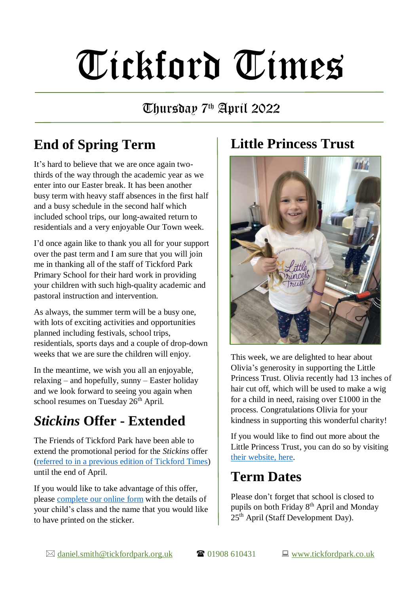# Tickford Times

## Thursday 7th April 2022

# **End of Spring Term**

It's hard to believe that we are once again twothirds of the way through the academic year as we enter into our Easter break. It has been another busy term with heavy staff absences in the first half and a busy schedule in the second half which included school trips, our long-awaited return to residentials and a very enjoyable Our Town week.

I'd once again like to thank you all for your support over the past term and I am sure that you will join me in thanking all of the staff of Tickford Park Primary School for their hard work in providing your children with such high-quality academic and pastoral instruction and intervention.

As always, the summer term will be a busy one, with lots of exciting activities and opportunities planned including festivals, school trips, residentials, sports days and a couple of drop-down weeks that we are sure the children will enjoy.

In the meantime, we wish you all an enjoyable, relaxing – and hopefully, sunny – Easter holiday and we look forward to seeing you again when school resumes on Tuesday 26<sup>th</sup> April.

#### *Stickins* **Offer - Extended**

The Friends of Tickford Park have been able to extend the promotional period for the *Stickins* offer (referred to in a previous [edition of Tickford Times\)](https://www.tickfordpark.co.uk/uploads/1/0/8/8/10881774/tt_25.3.22.pdf) until the end of April.

If you would like to take advantage of this offer, please [complete our](https://forms.gle/yKuNBKVuwhtJ4X9cA) online form with the details of your child's class and the name that you would like to have printed on the sticker.

#### **Little Princess Trust**



This week, we are delighted to hear about Olivia's generosity in supporting the Little Princess Trust. Olivia recently had 13 inches of hair cut off, which will be used to make a wig for a child in need, raising over £1000 in the process. Congratulations Olivia for your kindness in supporting this wonderful charity!

If you would like to find out more about the Little Princess Trust, you can do so by visiting [their website, here.](https://www.littleprincesses.org.uk/)

### **Term Dates**

Please don't forget that school is closed to pupils on both Friday 8th April and Monday  $25<sup>th</sup>$  April (Staff Development Day).